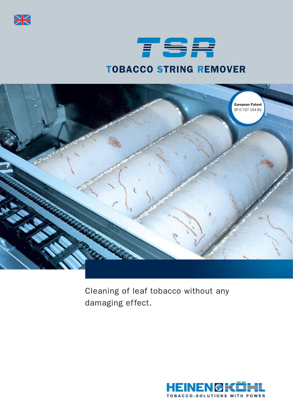

## TSR TOBACCO STRING REMOVER



Cleaning of leaf tobacco without any damaging effect.